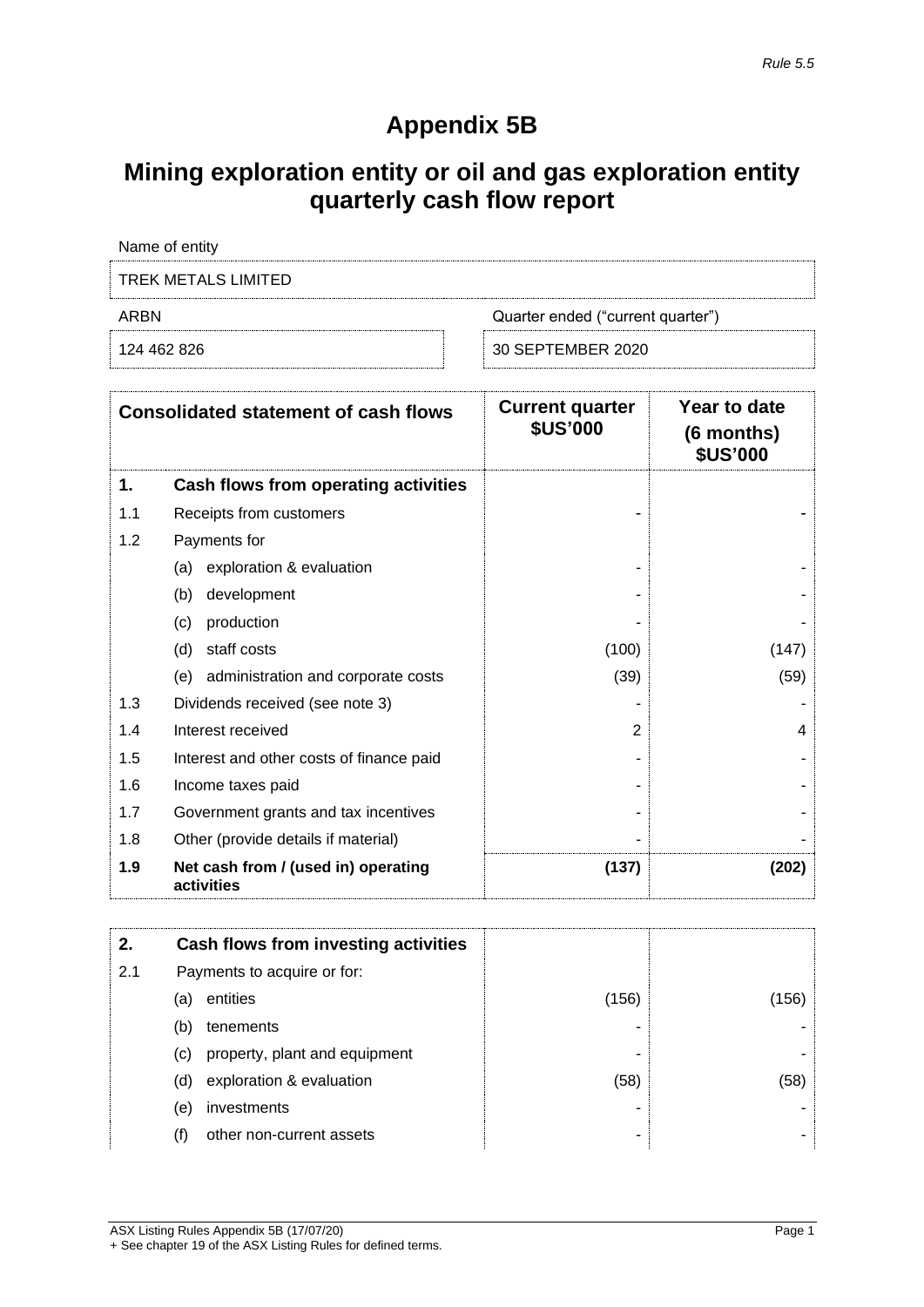## **Appendix 5B**

## **Mining exploration entity or oil and gas exploration entity quarterly cash flow report**

| Name of entity      |                                   |
|---------------------|-----------------------------------|
| TREK METALS LIMITED |                                   |
| ARBN                | Quarter ended ("current quarter") |
| 124 462 826         | 30 SEPTEMBER 2020                 |

|     | <b>Consolidated statement of cash flows</b>       | <b>Current quarter</b><br><b>\$US'000</b> | Year to date<br>(6 months)<br><b>\$US'000</b> |
|-----|---------------------------------------------------|-------------------------------------------|-----------------------------------------------|
| 1.  | Cash flows from operating activities              |                                           |                                               |
| 1.1 | Receipts from customers                           |                                           |                                               |
| 1.2 | Payments for                                      |                                           |                                               |
|     | exploration & evaluation<br>(a)                   |                                           |                                               |
|     | development<br>(b)                                |                                           |                                               |
|     | production<br>(c)                                 |                                           |                                               |
|     | staff costs<br>(d)                                | (100)                                     | (147)                                         |
|     | administration and corporate costs<br>(e)         | (39)                                      | (59)                                          |
| 1.3 | Dividends received (see note 3)                   |                                           |                                               |
| 1.4 | Interest received                                 | $\overline{2}$                            | 4                                             |
| 1.5 | Interest and other costs of finance paid          |                                           |                                               |
| 1.6 | Income taxes paid                                 |                                           |                                               |
| 1.7 | Government grants and tax incentives              |                                           |                                               |
| 1.8 | Other (provide details if material)               |                                           |                                               |
| 1.9 | Net cash from / (used in) operating<br>activities | (137)                                     | (202)                                         |

| 2.  |     | Cash flows from investing activities |       |       |
|-----|-----|--------------------------------------|-------|-------|
| 2.1 |     | Payments to acquire or for:          |       |       |
|     | (a) | entities                             | (156) | (156) |
|     | (b) | tenements                            | -     |       |
|     | (C) | property, plant and equipment        | -     |       |
|     | (d) | exploration & evaluation             | (58)  | (58)  |
|     | (e) | investments                          |       |       |
|     |     | other non-current assets             | -     |       |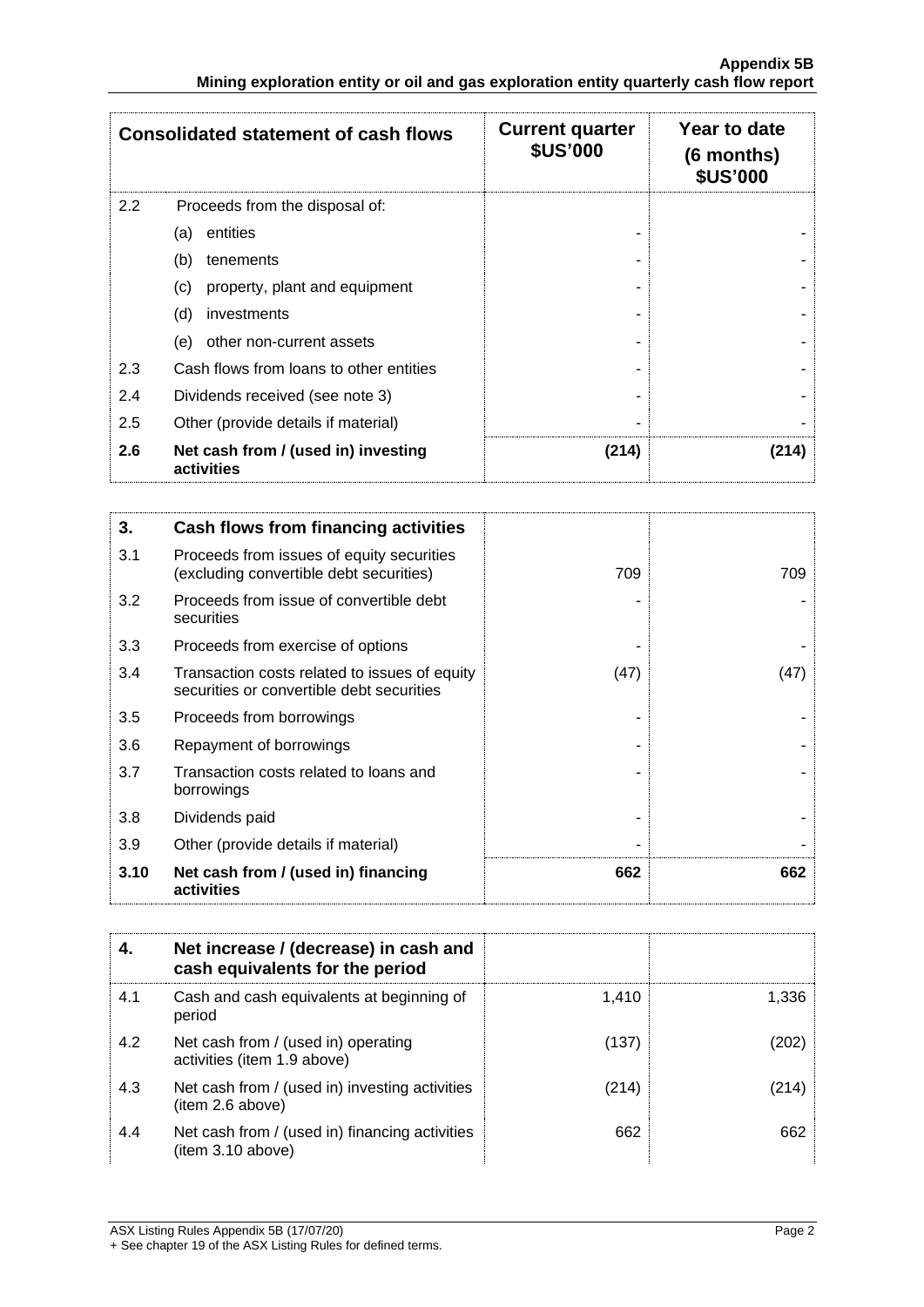|     | <b>Consolidated statement of cash flows</b>       | <b>Current quarter</b><br><b>\$US'000</b> | Year to date<br>$(6$ months)<br><b>\$US'000</b> |
|-----|---------------------------------------------------|-------------------------------------------|-------------------------------------------------|
| 2.2 | Proceeds from the disposal of:                    |                                           |                                                 |
|     | entities<br>(a)                                   |                                           |                                                 |
|     | (b)<br>tenements                                  |                                           |                                                 |
|     | property, plant and equipment<br>(c)              |                                           |                                                 |
|     | (d)<br>investments                                |                                           |                                                 |
|     | other non-current assets<br>(e)                   |                                           |                                                 |
| 2.3 | Cash flows from loans to other entities           |                                           |                                                 |
| 2.4 | Dividends received (see note 3)                   |                                           |                                                 |
| 2.5 | Other (provide details if material)               |                                           |                                                 |
| 2.6 | Net cash from / (used in) investing<br>activities | (214)                                     | (214)                                           |

| 3.   | Cash flows from financing activities                                                       |      |      |
|------|--------------------------------------------------------------------------------------------|------|------|
| 3.1  | Proceeds from issues of equity securities<br>(excluding convertible debt securities)       | 709  | 709  |
| 3.2  | Proceeds from issue of convertible debt<br>securities                                      |      |      |
| 3.3  | Proceeds from exercise of options                                                          |      |      |
| 3.4  | Transaction costs related to issues of equity<br>securities or convertible debt securities | (47) | (47) |
| 3.5  | Proceeds from borrowings                                                                   |      |      |
| 3.6  | Repayment of borrowings                                                                    |      |      |
| 3.7  | Transaction costs related to loans and<br>borrowings                                       |      |      |
| 3.8  | Dividends paid                                                                             |      |      |
| 3.9  | Other (provide details if material)                                                        |      |      |
| 3.10 | Net cash from / (used in) financing<br>activities                                          | 662  | 662  |

|     | Net increase / (decrease) in cash and<br>cash equivalents for the period |       |       |
|-----|--------------------------------------------------------------------------|-------|-------|
| 4.1 | Cash and cash equivalents at beginning of<br>period                      | 1,410 | 1,336 |
| 4.2 | Net cash from / (used in) operating<br>activities (item 1.9 above)       | (137) | (202) |
| 4.3 | Net cash from / (used in) investing activities<br>(item 2.6 above)       | (214) | (214) |
| 4.4 | Net cash from / (used in) financing activities<br>(item 3.10 above)      | 662   | 662   |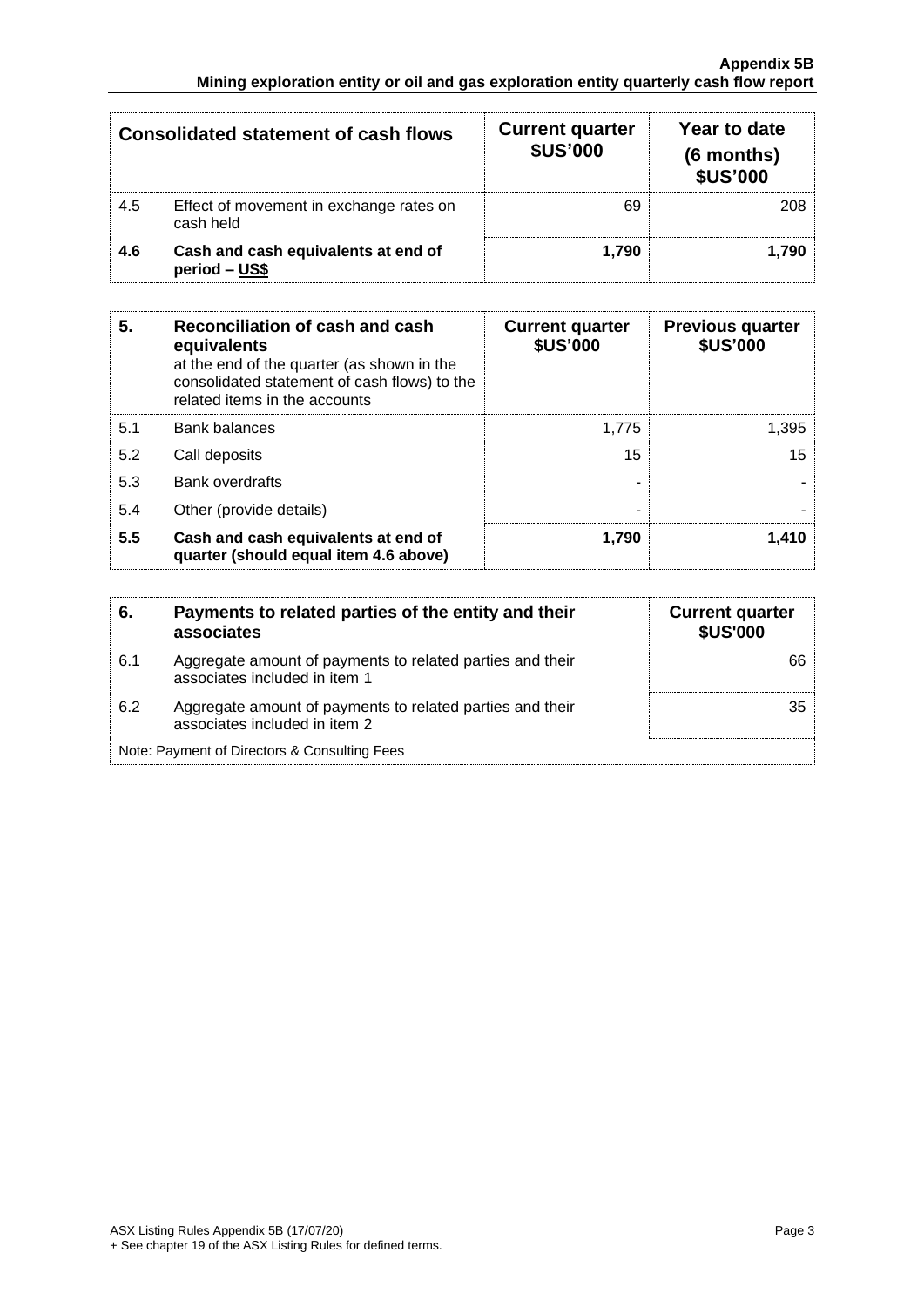|     | <b>Consolidated statement of cash flows</b>          | <b>Current quarter</b><br><b>\$US'000</b> | Year to date<br>(6 months)<br><b>\$US'000</b> |
|-----|------------------------------------------------------|-------------------------------------------|-----------------------------------------------|
| 4.5 | Effect of movement in exchange rates on<br>cash held | 69                                        | 208                                           |
| 4.6 | Cash and cash equivalents at end of<br>period - US\$ | 1.790                                     | 1.790                                         |

| 5.  | Reconciliation of cash and cash<br>equivalents<br>at the end of the quarter (as shown in the<br>consolidated statement of cash flows) to the<br>related items in the accounts | <b>Current quarter</b><br><b>\$US'000</b> | <b>Previous quarter</b><br><b>\$US'000</b> |
|-----|-------------------------------------------------------------------------------------------------------------------------------------------------------------------------------|-------------------------------------------|--------------------------------------------|
| 5.1 | <b>Bank balances</b>                                                                                                                                                          | 1.775                                     | 1,395                                      |
| 5.2 | Call deposits                                                                                                                                                                 | 15                                        | 15 <sub>15</sub>                           |
| 5.3 | <b>Bank overdrafts</b>                                                                                                                                                        |                                           |                                            |
| 5.4 | Other (provide details)                                                                                                                                                       | -                                         |                                            |
| 5.5 | Cash and cash equivalents at end of<br>quarter (should equal item 4.6 above)                                                                                                  | 1,790                                     | 1.410                                      |

| 6   | Payments to related parties of the entity and their<br>associates                          | <b>Current quarter</b><br><b>\$US'000</b> |
|-----|--------------------------------------------------------------------------------------------|-------------------------------------------|
| 6.1 | Aggregate amount of payments to related parties and their<br>associates included in item 1 |                                           |
| 6.2 | Aggregate amount of payments to related parties and their<br>associates included in item 2 | 35                                        |
|     | Note: Payment of Directors & Consulting Fees                                               |                                           |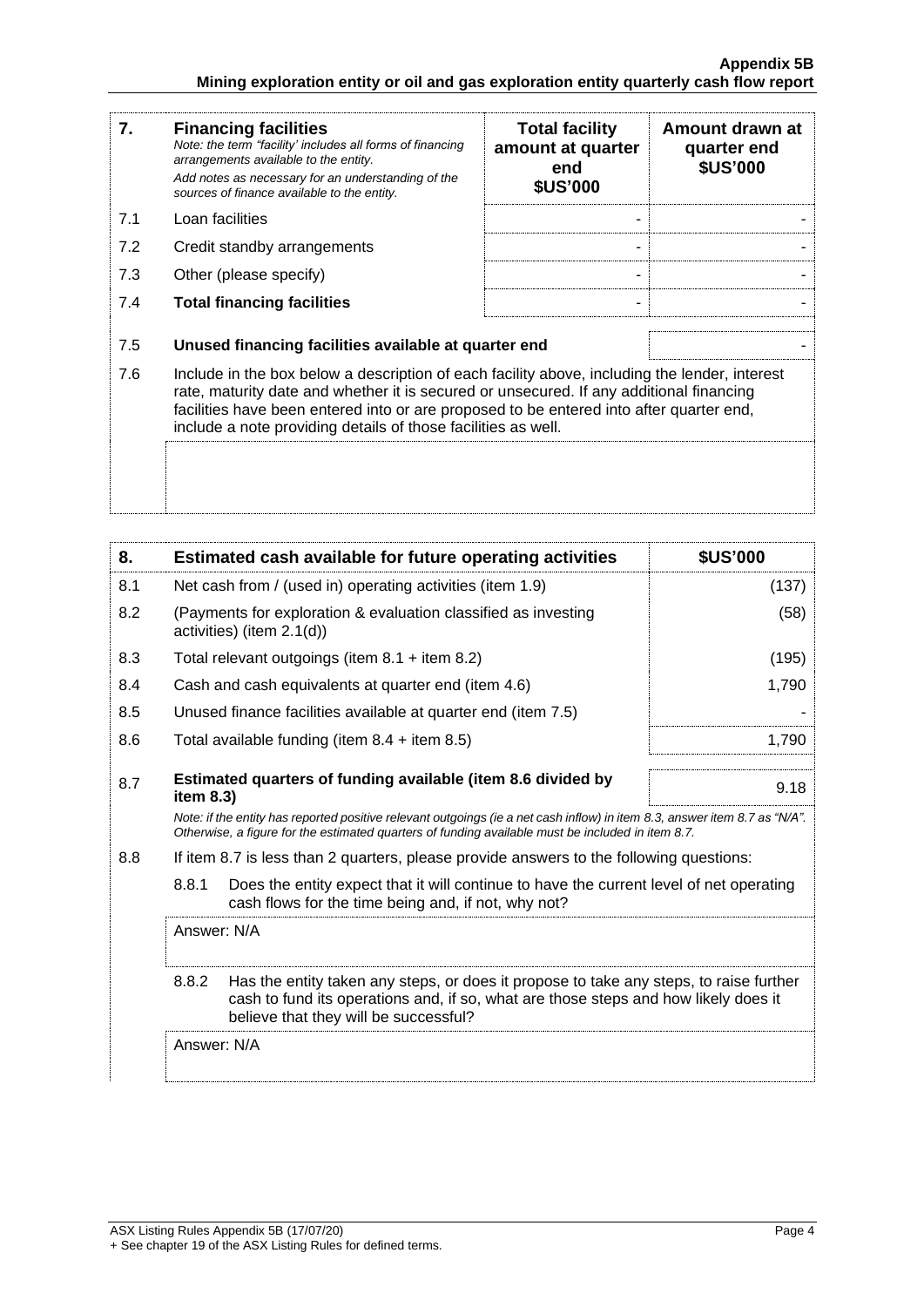| 7.  | <b>Financing facilities</b><br>Note: the term "facility' includes all forms of financing<br>arrangements available to the entity.<br>Add notes as necessary for an understanding of the<br>sources of finance available to the entity.                                                                                                               | <b>Total facility</b><br>amount at quarter<br>end<br><b>\$US'000</b> | Amount drawn at<br>quarter end<br><b>\$US'000</b> |
|-----|------------------------------------------------------------------------------------------------------------------------------------------------------------------------------------------------------------------------------------------------------------------------------------------------------------------------------------------------------|----------------------------------------------------------------------|---------------------------------------------------|
| 7.1 | Loan facilities                                                                                                                                                                                                                                                                                                                                      |                                                                      |                                                   |
| 7.2 | Credit standby arrangements                                                                                                                                                                                                                                                                                                                          |                                                                      |                                                   |
| 7.3 | Other (please specify)                                                                                                                                                                                                                                                                                                                               |                                                                      |                                                   |
| 7.4 | <b>Total financing facilities</b>                                                                                                                                                                                                                                                                                                                    |                                                                      |                                                   |
| 7.5 | Unused financing facilities available at quarter end                                                                                                                                                                                                                                                                                                 |                                                                      |                                                   |
| 7.6 | Include in the box below a description of each facility above, including the lender, interest<br>rate, maturity date and whether it is secured or unsecured. If any additional financing<br>facilities have been entered into or are proposed to be entered into after quarter end,<br>include a note providing details of those facilities as well. |                                                                      |                                                   |
|     |                                                                                                                                                                                                                                                                                                                                                      |                                                                      |                                                   |

| 8.  | Estimated cash available for future operating activities                                                                                                                                                                        |                                                                                                                                                                               | <b>\$US'000</b> |
|-----|---------------------------------------------------------------------------------------------------------------------------------------------------------------------------------------------------------------------------------|-------------------------------------------------------------------------------------------------------------------------------------------------------------------------------|-----------------|
| 8.1 | Net cash from / (used in) operating activities (item 1.9)                                                                                                                                                                       |                                                                                                                                                                               | (137)           |
| 8.2 | (Payments for exploration & evaluation classified as investing<br>activities) (item 2.1(d))                                                                                                                                     |                                                                                                                                                                               | (58)            |
| 8.3 | Total relevant outgoings (item $8.1 +$ item $8.2$ )                                                                                                                                                                             |                                                                                                                                                                               | (195)           |
| 8.4 | Cash and cash equivalents at quarter end (item 4.6)                                                                                                                                                                             |                                                                                                                                                                               | 1,790           |
| 8.5 | Unused finance facilities available at quarter end (item 7.5)                                                                                                                                                                   |                                                                                                                                                                               |                 |
| 8.6 | Total available funding (item $8.4$ + item $8.5$ )                                                                                                                                                                              |                                                                                                                                                                               | 1,790           |
| 8.7 | Estimated quarters of funding available (item 8.6 divided by<br>item $8.3$ )                                                                                                                                                    |                                                                                                                                                                               | 9.18            |
|     | Note: if the entity has reported positive relevant outgoings (ie a net cash inflow) in item 8.3, answer item 8.7 as "N/A".<br>Otherwise, a figure for the estimated guarters of funding available must be included in item 8.7. |                                                                                                                                                                               |                 |
| 8.8 | If item 8.7 is less than 2 quarters, please provide answers to the following questions:                                                                                                                                         |                                                                                                                                                                               |                 |
|     | 8.8.1<br>cash flows for the time being and, if not, why not?                                                                                                                                                                    | Does the entity expect that it will continue to have the current level of net operating                                                                                       |                 |
|     | Answer: N/A                                                                                                                                                                                                                     |                                                                                                                                                                               |                 |
|     | 8.8.2<br>believe that they will be successful?                                                                                                                                                                                  | Has the entity taken any steps, or does it propose to take any steps, to raise further<br>cash to fund its operations and, if so, what are those steps and how likely does it |                 |
|     | Answer: N/A                                                                                                                                                                                                                     |                                                                                                                                                                               |                 |
|     |                                                                                                                                                                                                                                 |                                                                                                                                                                               |                 |